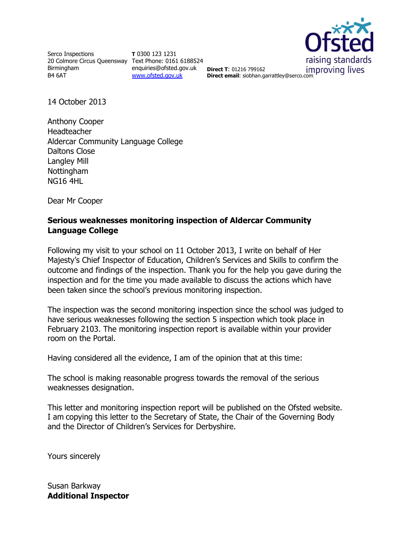Serco Inspections 20 Colmore Circus Queensway Text Phone: 0161 6188524 Birmingham B4 6AT

**T** 0300 123 1231 enquiries@ofsted.gov.uk **Direct T**: 01216 799162 [www.ofsted.gov.uk](http://www.ofsted.gov.uk/)



improving lives **Direct email:** siobhan.garrattley@serco.com

14 October 2013

Anthony Cooper Headteacher Aldercar Community Language College Daltons Close Langley Mill **Nottingham** NG16 4HL

Dear Mr Cooper

#### **Serious weaknesses monitoring inspection of Aldercar Community Language College**

Following my visit to your school on 11 October 2013, I write on behalf of Her Majesty's Chief Inspector of Education, Children's Services and Skills to confirm the outcome and findings of the inspection. Thank you for the help you gave during the inspection and for the time you made available to discuss the actions which have been taken since the school's previous monitoring inspection.

The inspection was the second monitoring inspection since the school was judged to have serious weaknesses following the section 5 inspection which took place in February 2103. The monitoring inspection report is available within your provider room on the Portal.

Having considered all the evidence, I am of the opinion that at this time:

The school is making reasonable progress towards the removal of the serious weaknesses designation.

This letter and monitoring inspection report will be published on the Ofsted website. I am copying this letter to the Secretary of State, the Chair of the Governing Body and the Director of Children's Services for Derbyshire.

Yours sincerely

Susan Barkway **Additional Inspector**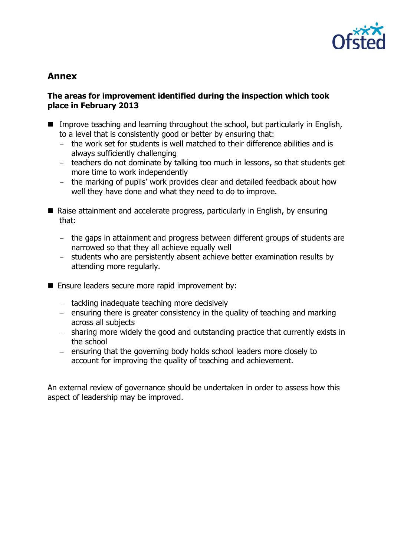

# **Annex**

#### **The areas for improvement identified during the inspection which took place in February 2013**

- Improve teaching and learning throughout the school, but particularly in English, to a level that is consistently good or better by ensuring that:
	- the work set for students is well matched to their difference abilities and is always sufficiently challenging
	- teachers do not dominate by talking too much in lessons, so that students get more time to work independently
	- the marking of pupils' work provides clear and detailed feedback about how well they have done and what they need to do to improve.
- Raise attainment and accelerate progress, particularly in English, by ensuring that:
	- the gaps in attainment and progress between different groups of students are narrowed so that they all achieve equally well
	- students who are persistently absent achieve better examination results by attending more regularly.
- Ensure leaders secure more rapid improvement by:
	- $-$  tackling inadequate teaching more decisively
	- $-$  ensuring there is greater consistency in the quality of teaching and marking across all subjects
	- sharing more widely the good and outstanding practice that currently exists in the school
	- $-$  ensuring that the governing body holds school leaders more closely to account for improving the quality of teaching and achievement.

An external review of governance should be undertaken in order to assess how this aspect of leadership may be improved.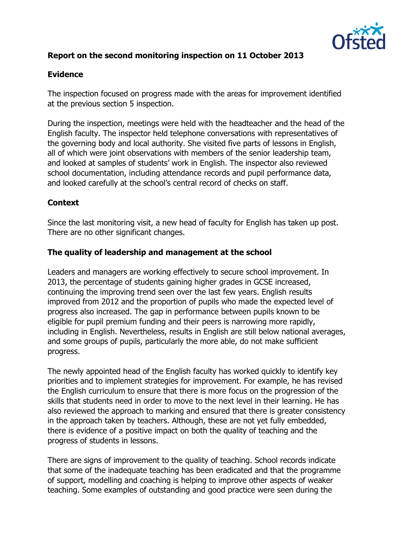

# **Report on the second monitoring inspection on 11 October 2013**

# **Evidence**

The inspection focused on progress made with the areas for improvement identified at the previous section 5 inspection.

During the inspection, meetings were held with the headteacher and the head of the English faculty. The inspector held telephone conversations with representatives of the governing body and local authority. She visited five parts of lessons in English, all of which were joint observations with members of the senior leadership team, and looked at samples of students' work in English. The inspector also reviewed school documentation, including attendance records and pupil performance data, and looked carefully at the school's central record of checks on staff.

# **Context**

Since the last monitoring visit, a new head of faculty for English has taken up post. There are no other significant changes.

### **The quality of leadership and management at the school**

Leaders and managers are working effectively to secure school improvement. In 2013, the percentage of students gaining higher grades in GCSE increased, continuing the improving trend seen over the last few years. English results improved from 2012 and the proportion of pupils who made the expected level of progress also increased. The gap in performance between pupils known to be eligible for pupil premium funding and their peers is narrowing more rapidly, including in English. Nevertheless, results in English are still below national averages, and some groups of pupils, particularly the more able, do not make sufficient progress.

The newly appointed head of the English faculty has worked quickly to identify key priorities and to implement strategies for improvement. For example, he has revised the English curriculum to ensure that there is more focus on the progression of the skills that students need in order to move to the next level in their learning. He has also reviewed the approach to marking and ensured that there is greater consistency in the approach taken by teachers. Although, these are not yet fully embedded, there is evidence of a positive impact on both the quality of teaching and the progress of students in lessons.

There are signs of improvement to the quality of teaching. School records indicate that some of the inadequate teaching has been eradicated and that the programme of support, modelling and coaching is helping to improve other aspects of weaker teaching. Some examples of outstanding and good practice were seen during the